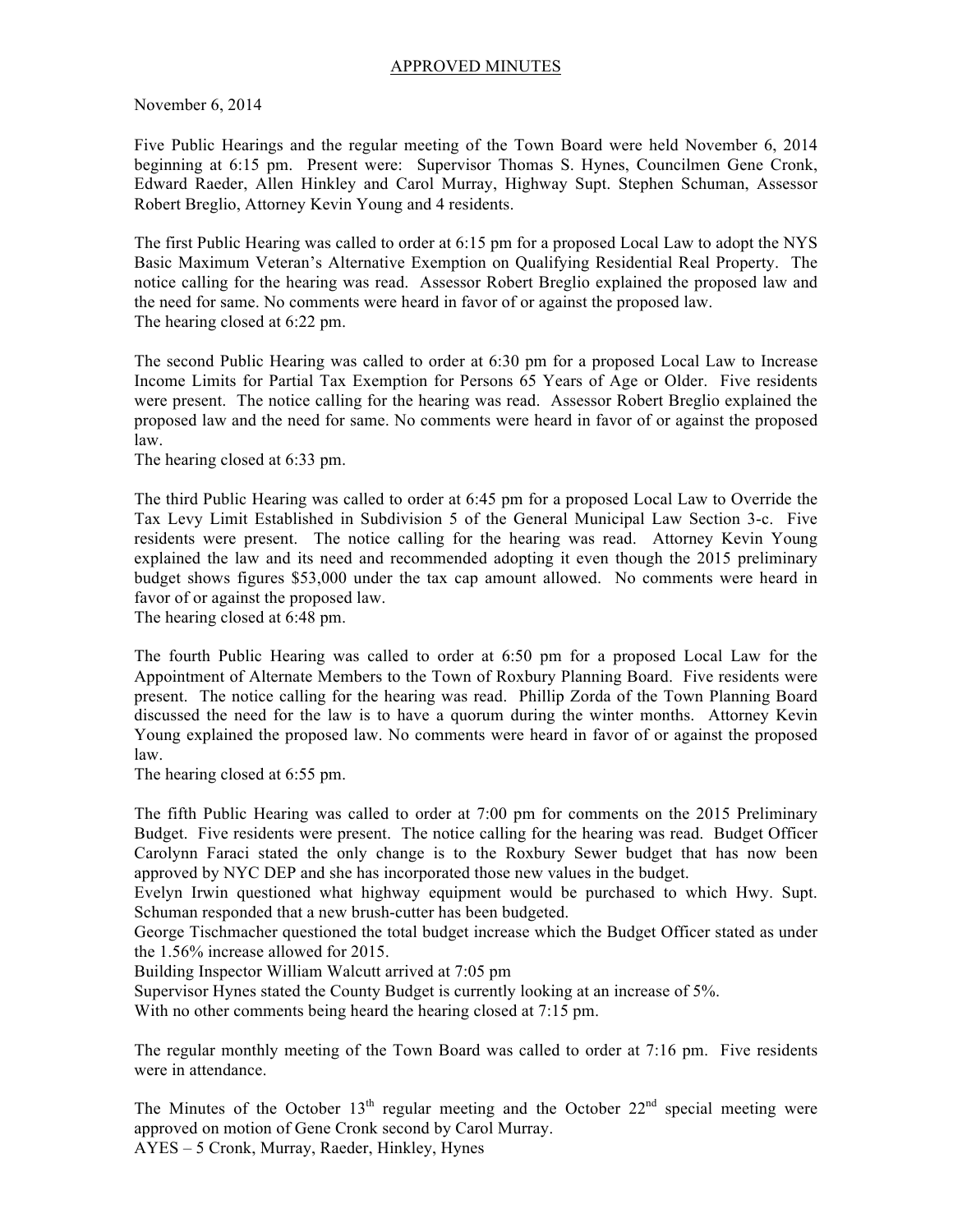## APPROVED MINUTES

November 6, 2014

Five Public Hearings and the regular meeting of the Town Board were held November 6, 2014 beginning at 6:15 pm. Present were: Supervisor Thomas S. Hynes, Councilmen Gene Cronk, Edward Raeder, Allen Hinkley and Carol Murray, Highway Supt. Stephen Schuman, Assessor Robert Breglio, Attorney Kevin Young and 4 residents.

The first Public Hearing was called to order at 6:15 pm for a proposed Local Law to adopt the NYS Basic Maximum Veteran's Alternative Exemption on Qualifying Residential Real Property. The notice calling for the hearing was read. Assessor Robert Breglio explained the proposed law and the need for same. No comments were heard in favor of or against the proposed law. The hearing closed at 6:22 pm.

The second Public Hearing was called to order at 6:30 pm for a proposed Local Law to Increase Income Limits for Partial Tax Exemption for Persons 65 Years of Age or Older. Five residents were present. The notice calling for the hearing was read. Assessor Robert Breglio explained the proposed law and the need for same. No comments were heard in favor of or against the proposed law.

The hearing closed at 6:33 pm.

The third Public Hearing was called to order at 6:45 pm for a proposed Local Law to Override the Tax Levy Limit Established in Subdivision 5 of the General Municipal Law Section 3-c. Five residents were present. The notice calling for the hearing was read. Attorney Kevin Young explained the law and its need and recommended adopting it even though the 2015 preliminary budget shows figures \$53,000 under the tax cap amount allowed. No comments were heard in favor of or against the proposed law.

The hearing closed at 6:48 pm.

The fourth Public Hearing was called to order at 6:50 pm for a proposed Local Law for the Appointment of Alternate Members to the Town of Roxbury Planning Board. Five residents were present. The notice calling for the hearing was read. Phillip Zorda of the Town Planning Board discussed the need for the law is to have a quorum during the winter months. Attorney Kevin Young explained the proposed law. No comments were heard in favor of or against the proposed law.

The hearing closed at 6:55 pm.

The fifth Public Hearing was called to order at 7:00 pm for comments on the 2015 Preliminary Budget. Five residents were present. The notice calling for the hearing was read. Budget Officer Carolynn Faraci stated the only change is to the Roxbury Sewer budget that has now been approved by NYC DEP and she has incorporated those new values in the budget.

Evelyn Irwin questioned what highway equipment would be purchased to which Hwy. Supt. Schuman responded that a new brush-cutter has been budgeted.

George Tischmacher questioned the total budget increase which the Budget Officer stated as under the 1.56% increase allowed for 2015.

Building Inspector William Walcutt arrived at 7:05 pm

Supervisor Hynes stated the County Budget is currently looking at an increase of 5%.

With no other comments being heard the hearing closed at 7:15 pm.

The regular monthly meeting of the Town Board was called to order at 7:16 pm. Five residents were in attendance.

The Minutes of the October  $13<sup>th</sup>$  regular meeting and the October  $22<sup>nd</sup>$  special meeting were approved on motion of Gene Cronk second by Carol Murray. AYES – 5 Cronk, Murray, Raeder, Hinkley, Hynes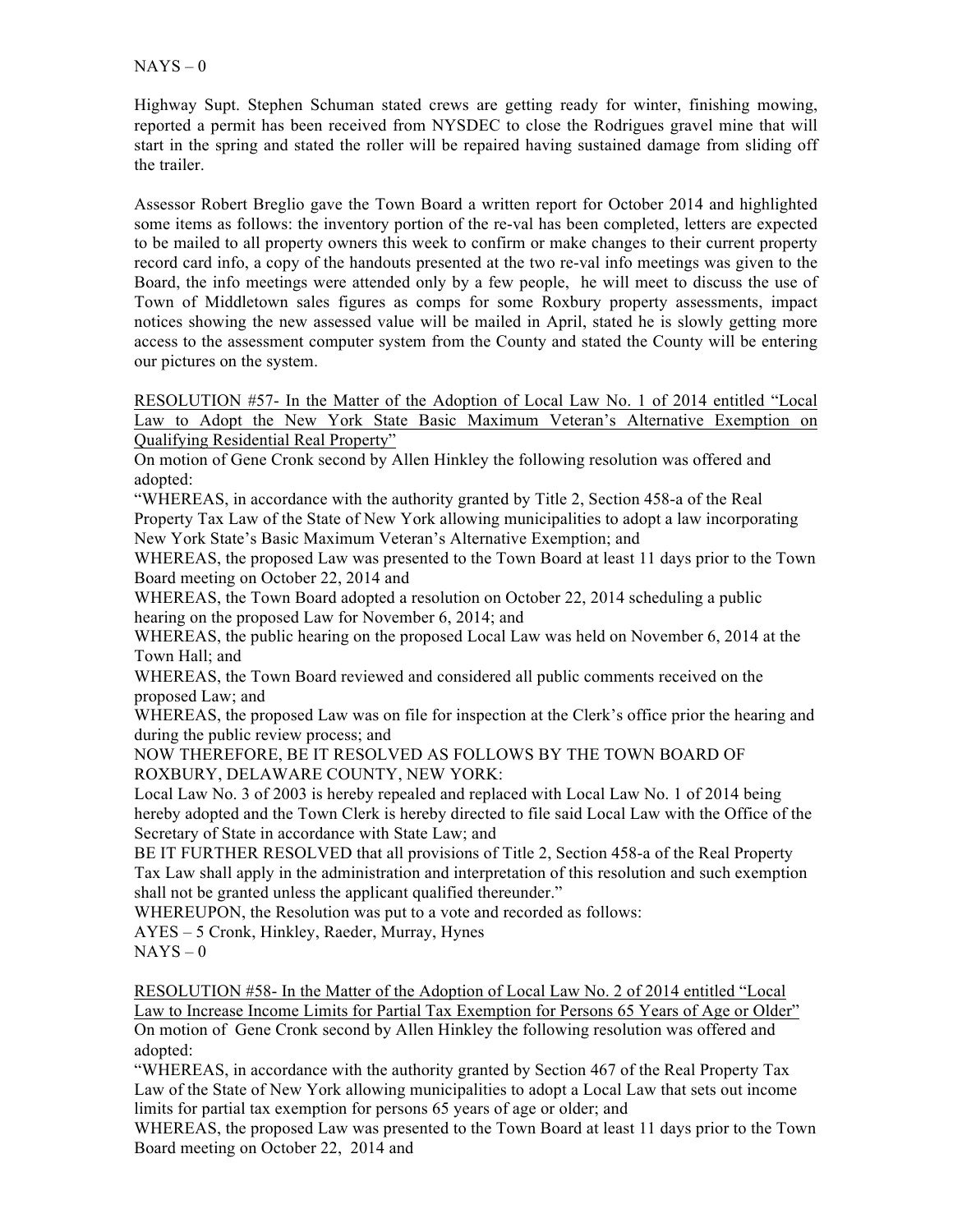Highway Supt. Stephen Schuman stated crews are getting ready for winter, finishing mowing, reported a permit has been received from NYSDEC to close the Rodrigues gravel mine that will start in the spring and stated the roller will be repaired having sustained damage from sliding off the trailer.

Assessor Robert Breglio gave the Town Board a written report for October 2014 and highlighted some items as follows: the inventory portion of the re-val has been completed, letters are expected to be mailed to all property owners this week to confirm or make changes to their current property record card info, a copy of the handouts presented at the two re-val info meetings was given to the Board, the info meetings were attended only by a few people, he will meet to discuss the use of Town of Middletown sales figures as comps for some Roxbury property assessments, impact notices showing the new assessed value will be mailed in April, stated he is slowly getting more access to the assessment computer system from the County and stated the County will be entering our pictures on the system.

RESOLUTION #57- In the Matter of the Adoption of Local Law No. 1 of 2014 entitled "Local Law to Adopt the New York State Basic Maximum Veteran's Alternative Exemption on Qualifying Residential Real Property"

On motion of Gene Cronk second by Allen Hinkley the following resolution was offered and adopted:

"WHEREAS, in accordance with the authority granted by Title 2, Section 458-a of the Real Property Tax Law of the State of New York allowing municipalities to adopt a law incorporating New York State's Basic Maximum Veteran's Alternative Exemption; and

WHEREAS, the proposed Law was presented to the Town Board at least 11 days prior to the Town Board meeting on October 22, 2014 and

WHEREAS, the Town Board adopted a resolution on October 22, 2014 scheduling a public hearing on the proposed Law for November 6, 2014; and

WHEREAS, the public hearing on the proposed Local Law was held on November 6, 2014 at the Town Hall; and

WHEREAS, the Town Board reviewed and considered all public comments received on the proposed Law; and

WHEREAS, the proposed Law was on file for inspection at the Clerk's office prior the hearing and during the public review process; and

NOW THEREFORE, BE IT RESOLVED AS FOLLOWS BY THE TOWN BOARD OF ROXBURY, DELAWARE COUNTY, NEW YORK:

Local Law No. 3 of 2003 is hereby repealed and replaced with Local Law No. 1 of 2014 being hereby adopted and the Town Clerk is hereby directed to file said Local Law with the Office of the Secretary of State in accordance with State Law; and

BE IT FURTHER RESOLVED that all provisions of Title 2, Section 458-a of the Real Property Tax Law shall apply in the administration and interpretation of this resolution and such exemption shall not be granted unless the applicant qualified thereunder."

WHEREUPON, the Resolution was put to a vote and recorded as follows:

AYES – 5 Cronk, Hinkley, Raeder, Murray, Hynes  $NAYS - 0$ 

RESOLUTION #58- In the Matter of the Adoption of Local Law No. 2 of 2014 entitled "Local Law to Increase Income Limits for Partial Tax Exemption for Persons 65 Years of Age or Older" On motion of Gene Cronk second by Allen Hinkley the following resolution was offered and adopted:

"WHEREAS, in accordance with the authority granted by Section 467 of the Real Property Tax Law of the State of New York allowing municipalities to adopt a Local Law that sets out income limits for partial tax exemption for persons 65 years of age or older; and

WHEREAS, the proposed Law was presented to the Town Board at least 11 days prior to the Town Board meeting on October 22, 2014 and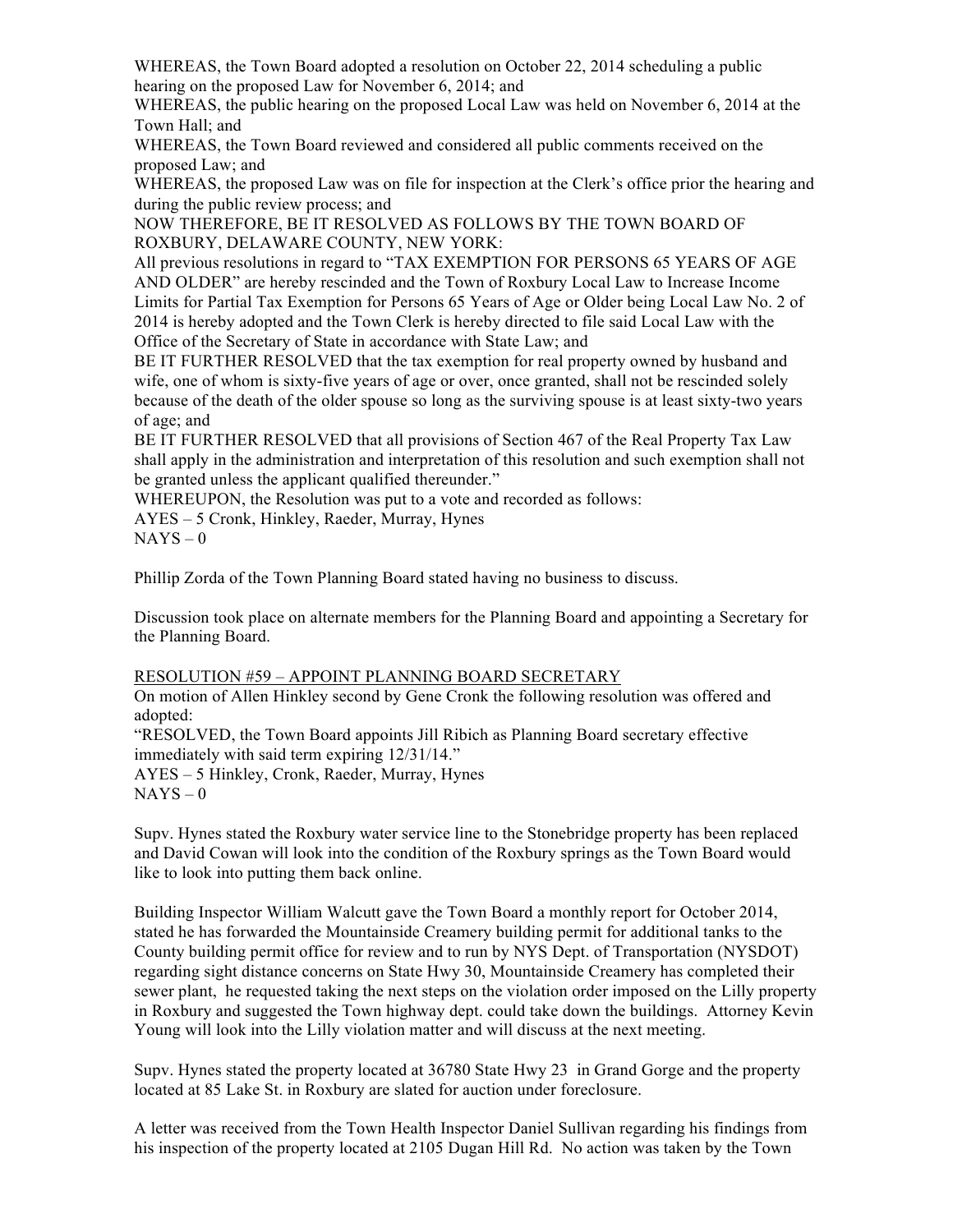WHEREAS, the Town Board adopted a resolution on October 22, 2014 scheduling a public hearing on the proposed Law for November 6, 2014; and

WHEREAS, the public hearing on the proposed Local Law was held on November 6, 2014 at the Town Hall; and

WHEREAS, the Town Board reviewed and considered all public comments received on the proposed Law; and

WHEREAS, the proposed Law was on file for inspection at the Clerk's office prior the hearing and during the public review process; and

NOW THEREFORE, BE IT RESOLVED AS FOLLOWS BY THE TOWN BOARD OF ROXBURY, DELAWARE COUNTY, NEW YORK:

All previous resolutions in regard to "TAX EXEMPTION FOR PERSONS 65 YEARS OF AGE AND OLDER" are hereby rescinded and the Town of Roxbury Local Law to Increase Income Limits for Partial Tax Exemption for Persons 65 Years of Age or Older being Local Law No. 2 of 2014 is hereby adopted and the Town Clerk is hereby directed to file said Local Law with the Office of the Secretary of State in accordance with State Law; and

BE IT FURTHER RESOLVED that the tax exemption for real property owned by husband and wife, one of whom is sixty-five years of age or over, once granted, shall not be rescinded solely because of the death of the older spouse so long as the surviving spouse is at least sixty-two years of age; and

BE IT FURTHER RESOLVED that all provisions of Section 467 of the Real Property Tax Law shall apply in the administration and interpretation of this resolution and such exemption shall not be granted unless the applicant qualified thereunder."

WHEREUPON, the Resolution was put to a vote and recorded as follows:

AYES – 5 Cronk, Hinkley, Raeder, Murray, Hynes  $NAYS - 0$ 

Phillip Zorda of the Town Planning Board stated having no business to discuss.

Discussion took place on alternate members for the Planning Board and appointing a Secretary for the Planning Board.

## RESOLUTION #59 – APPOINT PLANNING BOARD SECRETARY

On motion of Allen Hinkley second by Gene Cronk the following resolution was offered and adopted:

"RESOLVED, the Town Board appoints Jill Ribich as Planning Board secretary effective immediately with said term expiring 12/31/14." AYES – 5 Hinkley, Cronk, Raeder, Murray, Hynes

 $NAYS - 0$ 

Supv. Hynes stated the Roxbury water service line to the Stonebridge property has been replaced and David Cowan will look into the condition of the Roxbury springs as the Town Board would like to look into putting them back online.

Building Inspector William Walcutt gave the Town Board a monthly report for October 2014, stated he has forwarded the Mountainside Creamery building permit for additional tanks to the County building permit office for review and to run by NYS Dept. of Transportation (NYSDOT) regarding sight distance concerns on State Hwy 30, Mountainside Creamery has completed their sewer plant, he requested taking the next steps on the violation order imposed on the Lilly property in Roxbury and suggested the Town highway dept. could take down the buildings. Attorney Kevin Young will look into the Lilly violation matter and will discuss at the next meeting.

Supv. Hynes stated the property located at 36780 State Hwy 23 in Grand Gorge and the property located at 85 Lake St. in Roxbury are slated for auction under foreclosure.

A letter was received from the Town Health Inspector Daniel Sullivan regarding his findings from his inspection of the property located at 2105 Dugan Hill Rd. No action was taken by the Town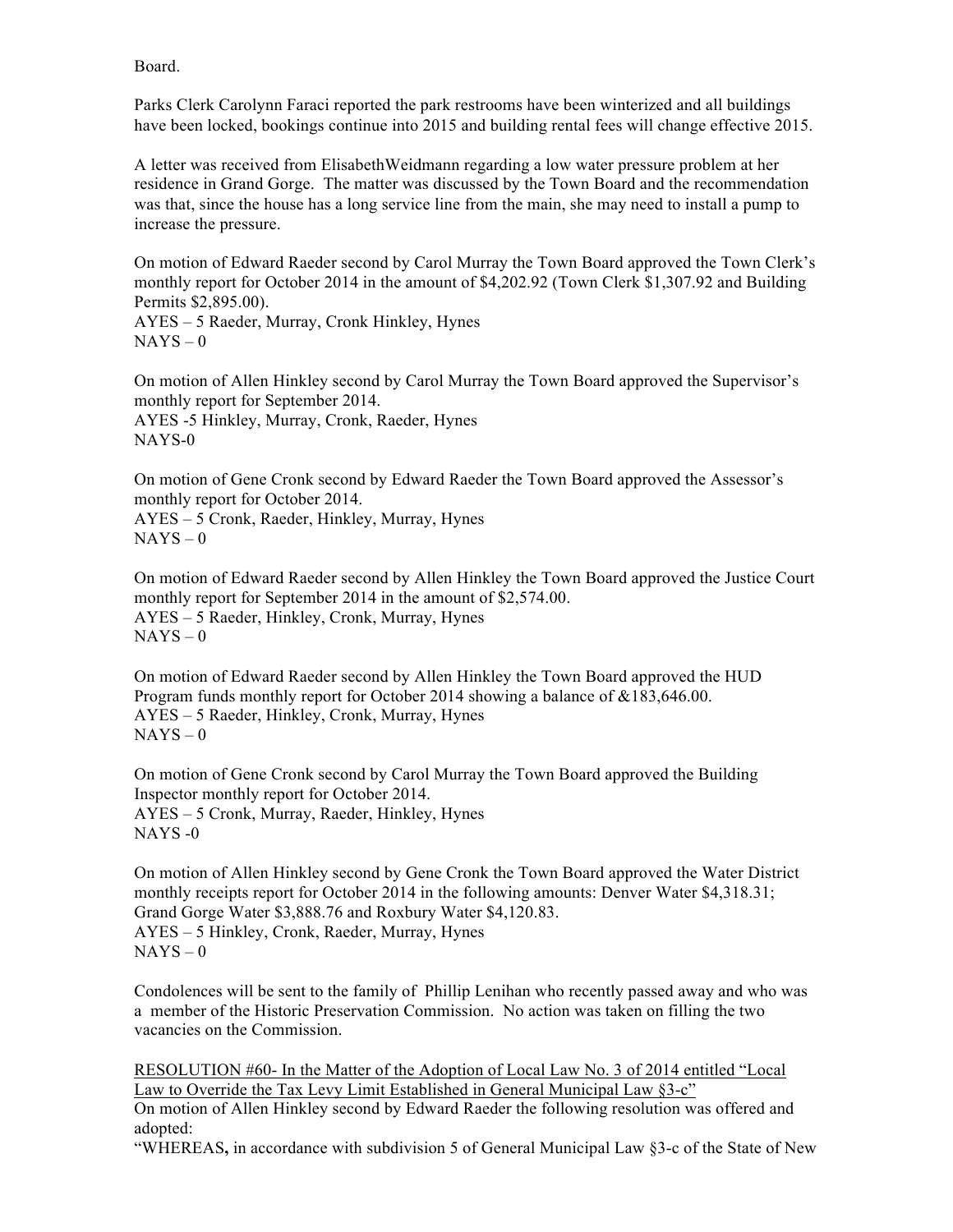Board.

Parks Clerk Carolynn Faraci reported the park restrooms have been winterized and all buildings have been locked, bookings continue into 2015 and building rental fees will change effective 2015.

A letter was received from ElisabethWeidmann regarding a low water pressure problem at her residence in Grand Gorge. The matter was discussed by the Town Board and the recommendation was that, since the house has a long service line from the main, she may need to install a pump to increase the pressure.

On motion of Edward Raeder second by Carol Murray the Town Board approved the Town Clerk's monthly report for October 2014 in the amount of \$4,202.92 (Town Clerk \$1,307.92 and Building Permits \$2,895.00). AYES – 5 Raeder, Murray, Cronk Hinkley, Hynes  $NAYS - 0$ 

On motion of Allen Hinkley second by Carol Murray the Town Board approved the Supervisor's monthly report for September 2014. AYES -5 Hinkley, Murray, Cronk, Raeder, Hynes NAYS-0

On motion of Gene Cronk second by Edward Raeder the Town Board approved the Assessor's monthly report for October 2014.

AYES – 5 Cronk, Raeder, Hinkley, Murray, Hynes  $NAYS - 0$ 

On motion of Edward Raeder second by Allen Hinkley the Town Board approved the Justice Court monthly report for September 2014 in the amount of \$2,574.00. AYES – 5 Raeder, Hinkley, Cronk, Murray, Hynes  $NAYS - 0$ 

On motion of Edward Raeder second by Allen Hinkley the Town Board approved the HUD Program funds monthly report for October 2014 showing a balance of  $&183,646.00$ . AYES – 5 Raeder, Hinkley, Cronk, Murray, Hynes  $NAYS - 0$ 

On motion of Gene Cronk second by Carol Murray the Town Board approved the Building Inspector monthly report for October 2014. AYES – 5 Cronk, Murray, Raeder, Hinkley, Hynes NAYS -0

On motion of Allen Hinkley second by Gene Cronk the Town Board approved the Water District monthly receipts report for October 2014 in the following amounts: Denver Water \$4,318.31; Grand Gorge Water \$3,888.76 and Roxbury Water \$4,120.83. AYES – 5 Hinkley, Cronk, Raeder, Murray, Hynes  $NAYS - 0$ 

Condolences will be sent to the family of Phillip Lenihan who recently passed away and who was a member of the Historic Preservation Commission. No action was taken on filling the two vacancies on the Commission.

RESOLUTION #60- In the Matter of the Adoption of Local Law No. 3 of 2014 entitled "Local Law to Override the Tax Levy Limit Established in General Municipal Law §3-c" On motion of Allen Hinkley second by Edward Raeder the following resolution was offered and adopted:

"WHEREAS**,** in accordance with subdivision 5 of General Municipal Law §3-c of the State of New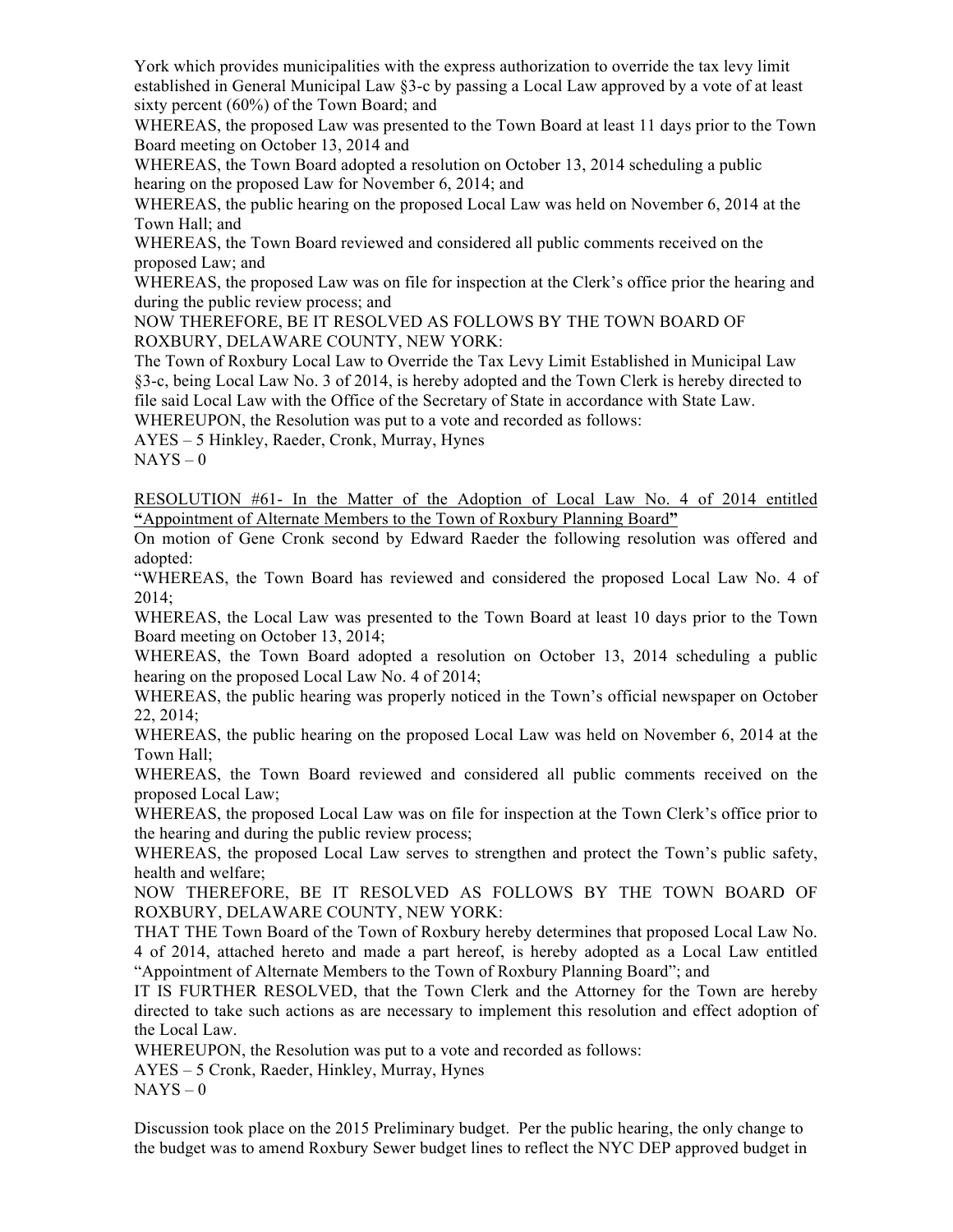York which provides municipalities with the express authorization to override the tax levy limit established in General Municipal Law §3-c by passing a Local Law approved by a vote of at least sixty percent (60%) of the Town Board; and

WHEREAS, the proposed Law was presented to the Town Board at least 11 days prior to the Town Board meeting on October 13, 2014 and

WHEREAS, the Town Board adopted a resolution on October 13, 2014 scheduling a public hearing on the proposed Law for November 6, 2014; and

WHEREAS, the public hearing on the proposed Local Law was held on November 6, 2014 at the Town Hall; and

WHEREAS, the Town Board reviewed and considered all public comments received on the proposed Law; and

WHEREAS, the proposed Law was on file for inspection at the Clerk's office prior the hearing and during the public review process; and

NOW THEREFORE, BE IT RESOLVED AS FOLLOWS BY THE TOWN BOARD OF ROXBURY, DELAWARE COUNTY, NEW YORK:

The Town of Roxbury Local Law to Override the Tax Levy Limit Established in Municipal Law §3-c, being Local Law No. 3 of 2014, is hereby adopted and the Town Clerk is hereby directed to file said Local Law with the Office of the Secretary of State in accordance with State Law.

WHEREUPON, the Resolution was put to a vote and recorded as follows:

AYES – 5 Hinkley, Raeder, Cronk, Murray, Hynes

 $NAYS - 0$ 

RESOLUTION #61- In the Matter of the Adoption of Local Law No. 4 of 2014 entitled **"**Appointment of Alternate Members to the Town of Roxbury Planning Board**"**

On motion of Gene Cronk second by Edward Raeder the following resolution was offered and adopted:

"WHEREAS, the Town Board has reviewed and considered the proposed Local Law No. 4 of 2014;

WHEREAS, the Local Law was presented to the Town Board at least 10 days prior to the Town Board meeting on October 13, 2014;

WHEREAS, the Town Board adopted a resolution on October 13, 2014 scheduling a public hearing on the proposed Local Law No. 4 of 2014;

WHEREAS, the public hearing was properly noticed in the Town's official newspaper on October 22, 2014;

WHEREAS, the public hearing on the proposed Local Law was held on November 6, 2014 at the Town Hall;

WHEREAS, the Town Board reviewed and considered all public comments received on the proposed Local Law;

WHEREAS, the proposed Local Law was on file for inspection at the Town Clerk's office prior to the hearing and during the public review process;

WHEREAS, the proposed Local Law serves to strengthen and protect the Town's public safety, health and welfare;

NOW THEREFORE, BE IT RESOLVED AS FOLLOWS BY THE TOWN BOARD OF ROXBURY, DELAWARE COUNTY, NEW YORK:

THAT THE Town Board of the Town of Roxbury hereby determines that proposed Local Law No. 4 of 2014, attached hereto and made a part hereof, is hereby adopted as a Local Law entitled "Appointment of Alternate Members to the Town of Roxbury Planning Board"; and

IT IS FURTHER RESOLVED, that the Town Clerk and the Attorney for the Town are hereby directed to take such actions as are necessary to implement this resolution and effect adoption of the Local Law.

WHEREUPON, the Resolution was put to a vote and recorded as follows:

AYES – 5 Cronk, Raeder, Hinkley, Murray, Hynes

 $NAYS - 0$ 

Discussion took place on the 2015 Preliminary budget. Per the public hearing, the only change to the budget was to amend Roxbury Sewer budget lines to reflect the NYC DEP approved budget in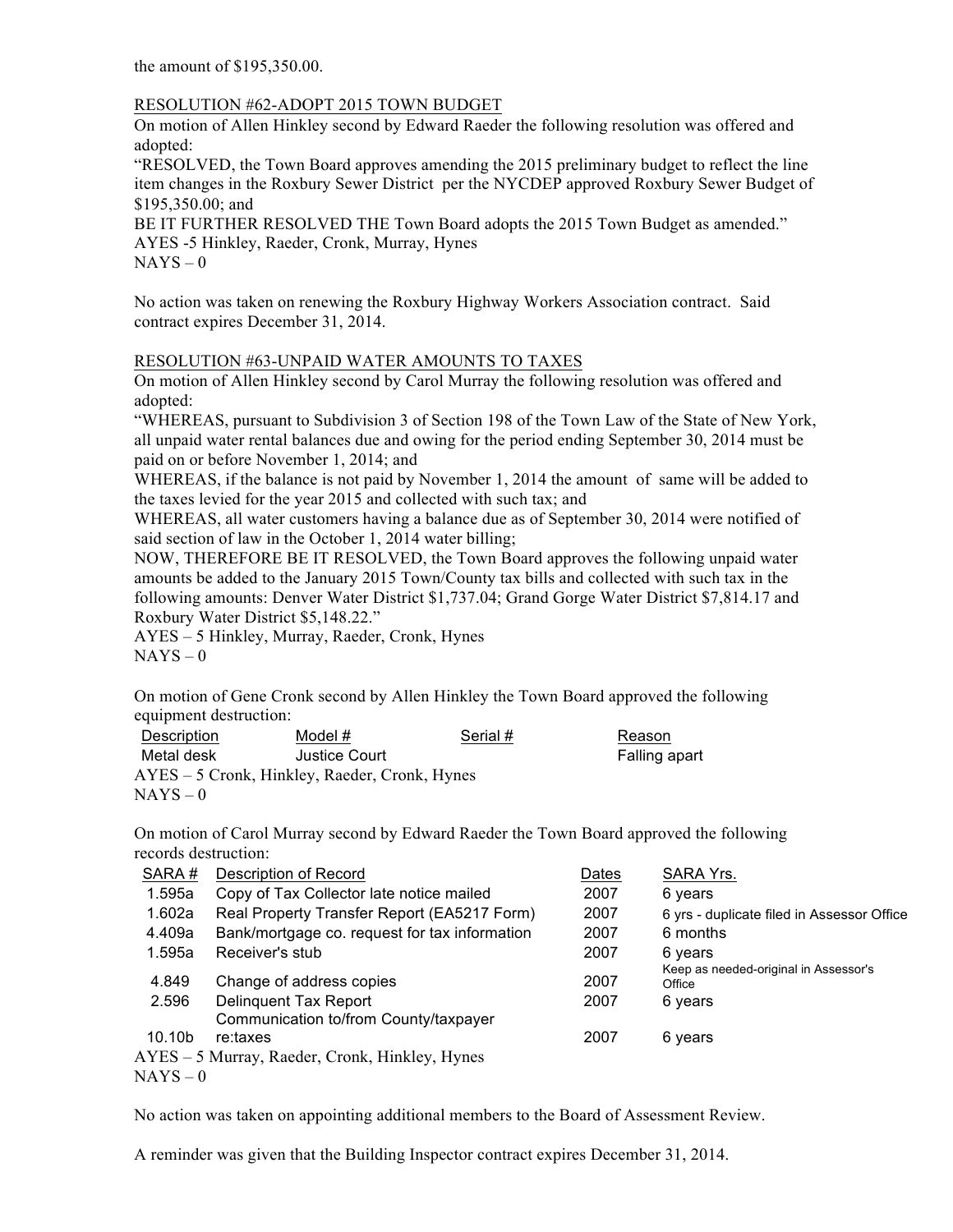the amount of \$195,350.00.

## RESOLUTION #62-ADOPT 2015 TOWN BUDGET

On motion of Allen Hinkley second by Edward Raeder the following resolution was offered and adopted:

"RESOLVED, the Town Board approves amending the 2015 preliminary budget to reflect the line item changes in the Roxbury Sewer District per the NYCDEP approved Roxbury Sewer Budget of \$195,350.00; and

BE IT FURTHER RESOLVED THE Town Board adopts the 2015 Town Budget as amended." AYES -5 Hinkley, Raeder, Cronk, Murray, Hynes  $NAYS - 0$ 

No action was taken on renewing the Roxbury Highway Workers Association contract. Said contract expires December 31, 2014.

## RESOLUTION #63-UNPAID WATER AMOUNTS TO TAXES

On motion of Allen Hinkley second by Carol Murray the following resolution was offered and adopted:

"WHEREAS, pursuant to Subdivision 3 of Section 198 of the Town Law of the State of New York, all unpaid water rental balances due and owing for the period ending September 30, 2014 must be paid on or before November 1, 2014; and

WHEREAS, if the balance is not paid by November 1, 2014 the amount of same will be added to the taxes levied for the year 2015 and collected with such tax; and

WHEREAS, all water customers having a balance due as of September 30, 2014 were notified of said section of law in the October 1, 2014 water billing;

NOW, THEREFORE BE IT RESOLVED, the Town Board approves the following unpaid water amounts be added to the January 2015 Town/County tax bills and collected with such tax in the following amounts: Denver Water District \$1,737.04; Grand Gorge Water District \$7,814.17 and Roxbury Water District \$5,148.22."

AYES – 5 Hinkley, Murray, Raeder, Cronk, Hynes  $NAYS - 0$ 

On motion of Gene Cronk second by Allen Hinkley the Town Board approved the following equipment destruction:

| Description                                     | Model #       | Serial # | Reason        |  |  |  |  |
|-------------------------------------------------|---------------|----------|---------------|--|--|--|--|
| Metal desk                                      | Justice Court |          | Falling apart |  |  |  |  |
| $AYES - 5$ Cronk, Hinkley, Raeder, Cronk, Hynes |               |          |               |  |  |  |  |
| $NAYS-0$                                        |               |          |               |  |  |  |  |

On motion of Carol Murray second by Edward Raeder the Town Board approved the following records destruction:

| SARA#              | <b>Description of Record</b>                   | Dates | SARA Yrs.                                       |
|--------------------|------------------------------------------------|-------|-------------------------------------------------|
| 1.595a             | Copy of Tax Collector late notice mailed       | 2007  | 6 years                                         |
| 1.602a             | Real Property Transfer Report (EA5217 Form)    | 2007  | 6 yrs - duplicate filed in Assessor Office      |
| 4.409a             | Bank/mortgage co. request for tax information  | 2007  | 6 months                                        |
| 1.595a             | Receiver's stub                                | 2007  | 6 years                                         |
| 4.849              | Change of address copies                       | 2007  | Keep as needed-original in Assessor's<br>Office |
| 2.596              | Delinguent Tax Report                          | 2007  | 6 years                                         |
|                    | Communication to/from County/taxpayer          |       |                                                 |
| 10.10 <sub>b</sub> | re:taxes                                       | 2007  | 6 years                                         |
|                    | AYES - 5 Murray, Raeder, Cronk, Hinkley, Hynes |       |                                                 |
| $NAYS-0$           |                                                |       |                                                 |
|                    |                                                |       |                                                 |

No action was taken on appointing additional members to the Board of Assessment Review.

A reminder was given that the Building Inspector contract expires December 31, 2014.